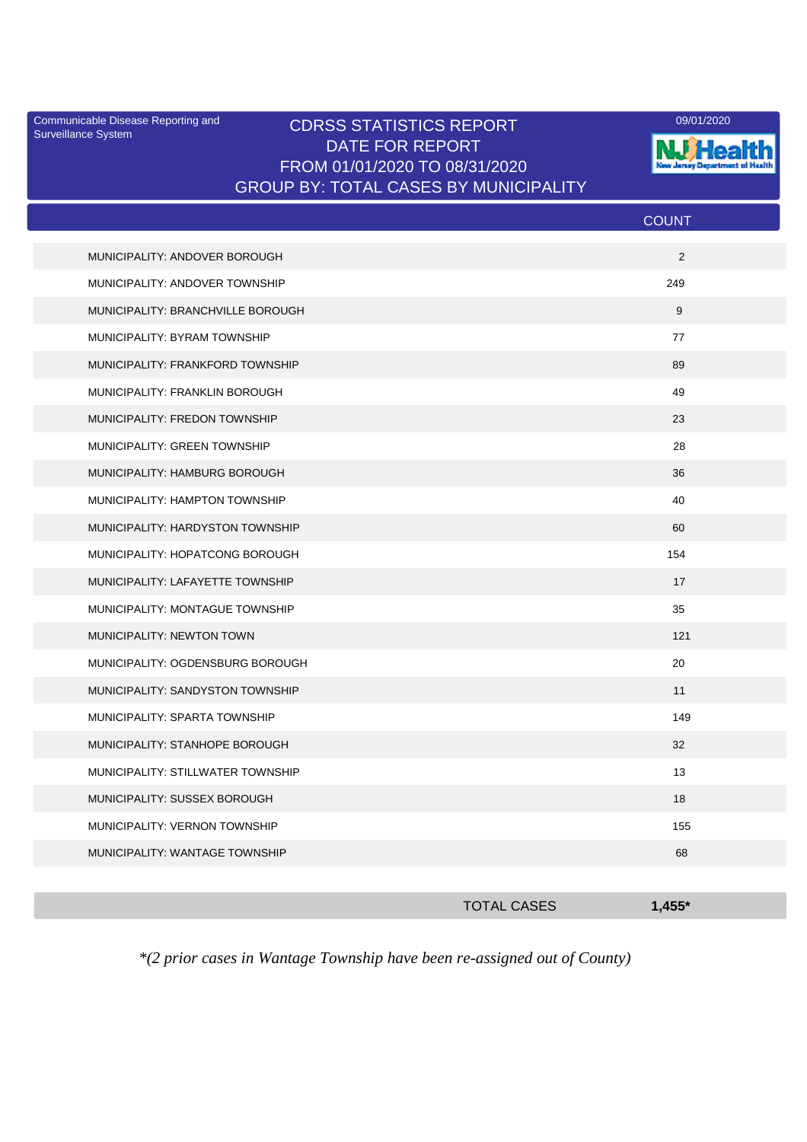Surveillance System

## Communicable Disease Reporting and CDRSS STATISTICS REPORT 09/01/2020<br>Surveillance System CDRSS STATISTICS REPORT DATE FOR REPORT FROM 01/01/2020 TO 08/31/2020 GROUP BY: TOTAL CASES BY MUNICIPALITY



|                                   | <b>COUNT</b>   |
|-----------------------------------|----------------|
| MUNICIPALITY: ANDOVER BOROUGH     | $\overline{2}$ |
| MUNICIPALITY: ANDOVER TOWNSHIP    | 249            |
| MUNICIPALITY: BRANCHVILLE BOROUGH | 9              |
| MUNICIPALITY: BYRAM TOWNSHIP      | 77             |
| MUNICIPALITY: FRANKFORD TOWNSHIP  | 89             |
| MUNICIPALITY: FRANKLIN BOROUGH    | 49             |
| MUNICIPALITY: FREDON TOWNSHIP     | 23             |
| MUNICIPALITY: GREEN TOWNSHIP      | 28             |
| MUNICIPALITY: HAMBURG BOROUGH     | 36             |
| MUNICIPALITY: HAMPTON TOWNSHIP    | 40             |
| MUNICIPALITY: HARDYSTON TOWNSHIP  | 60             |
| MUNICIPALITY: HOPATCONG BOROUGH   | 154            |
| MUNICIPALITY: LAFAYETTE TOWNSHIP  | 17             |
| MUNICIPALITY: MONTAGUE TOWNSHIP   | 35             |
| MUNICIPALITY: NEWTON TOWN         | 121            |
| MUNICIPALITY: OGDENSBURG BOROUGH  | 20             |
| MUNICIPALITY: SANDYSTON TOWNSHIP  | 11             |
| MUNICIPALITY: SPARTA TOWNSHIP     | 149            |
| MUNICIPALITY: STANHOPE BOROUGH    | 32             |
| MUNICIPALITY: STILLWATER TOWNSHIP | 13             |
| MUNICIPALITY: SUSSEX BOROUGH      | 18             |
| MUNICIPALITY: VERNON TOWNSHIP     | 155            |
| MUNICIPALITY: WANTAGE TOWNSHIP    | 68             |
|                                   |                |

*\*(2 prior cases in Wantage Township have been re-assigned out of County)*

TOTAL CASES **1,455\***